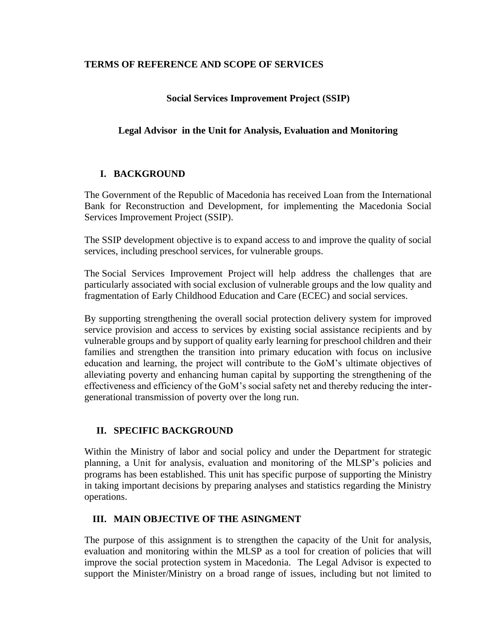#### **TERMS OF REFERENCE AND SCOPE OF SERVICES**

### **Social Services Improvement Project (SSIP)**

### **Legal Advisor in the Unit for Analysis, Evaluation and Monitoring**

#### **I. BACKGROUND**

The Government of the Republic of Macedonia has received Loan from the International Bank for Reconstruction and Development, for implementing the Macedonia Social Services Improvement Project (SSIP).

The SSIP development objective is to expand access to and improve the quality of social services, including preschool services, for vulnerable groups.

The [Social Services Improvement Project](http://projects.worldbank.org/P162246?lang=en) will help address the challenges that are particularly associated with social exclusion of vulnerable groups and the low quality and fragmentation of Early Childhood Education and Care (ECEC) and social services.

By supporting strengthening the overall social protection delivery system for improved service provision and access to services by existing social assistance recipients and by vulnerable groups and by support of quality early learning for preschool children and their families and strengthen the transition into primary education with focus on inclusive education and learning, the project will contribute to the GoM's ultimate objectives of alleviating poverty and enhancing human capital by supporting the strengthening of the effectiveness and efficiency of the GoM's social safety net and thereby reducing the intergenerational transmission of poverty over the long run.

#### **II. SPECIFIC BACKGROUND**

Within the Ministry of labor and social policy and under the Department for strategic planning, a Unit for analysis, evaluation and monitoring of the MLSP's policies and programs has been established. This unit has specific purpose of supporting the Ministry in taking important decisions by preparing analyses and statistics regarding the Ministry operations.

### **III. MAIN OBJECTIVE OF THE ASINGMENT**

The purpose of this assignment is to strengthen the capacity of the Unit for analysis, evaluation and monitoring within the MLSP as a tool for creation of policies that will improve the social protection system in Macedonia. The Legal Advisor is expected to support the Minister/Ministry on a broad range of issues, including but not limited to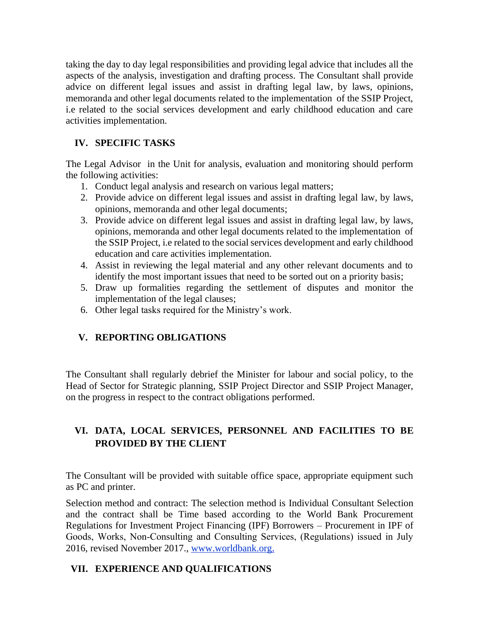taking the day to day legal responsibilities and providing legal advice that includes all the aspects of the analysis, investigation and drafting process. Тhe Consultant shall provide advice on different legal issues and assist in drafting legal law, by laws, opinions, memoranda and other legal documents related to the implementation of the SSIP Project, i.e related to the social services development and early childhood education and care activities implementation.

## **IV. SPECIFIC TASKS**

The Legal Advisor in the Unit for analysis, evaluation and monitoring should perform the following activities:

- 1. Conduct legal analysis and research on various legal matters;
- 2. Provide advice on different legal issues and assist in drafting legal law, by laws, opinions, memoranda and other legal documents;
- 3. Provide advice on different legal issues and assist in drafting legal law, by laws, opinions, memoranda and other legal documents related to the implementation of the SSIP Project, i.e related to the social services development and early childhood education and care activities implementation.
- 4. Assist in reviewing the legal material and any other relevant documents and to identify the most important issues that need to be sorted out on a priority basis;
- 5. Draw up formalities regarding the settlement of disputes and monitor the implementation of the legal clauses;
- 6. Other legal tasks required for the Ministry's work.

## **V. REPORTING OBLIGATIONS**

The Consultant shall regularly debrief the Minister for labour and social policy, to the Head of Sector for Strategic planning, SSIP Project Director and SSIP Project Manager, on the progress in respect to the contract obligations performed.

# **VI. DATA, LOCAL SERVICES, PERSONNEL AND FACILITIES TO BE PROVIDED BY THE CLIENT**

The Consultant will be provided with suitable office space, appropriate equipment such as PC and printer.

Selection method and contract: The selection method is Individual Consultant Selection and the contract shall be Time based according to the World Bank Procurement Regulations for Investment Project Financing (IPF) Borrowers – Procurement in IPF of Goods, Works, Non‐Consulting and Consulting Services, (Regulations) issued in July 2016, revised November 2017., [www.worldbank.org.](http://www.worldbank.org/)

### **VII. EXPERIENCE AND QUALIFICATIONS**